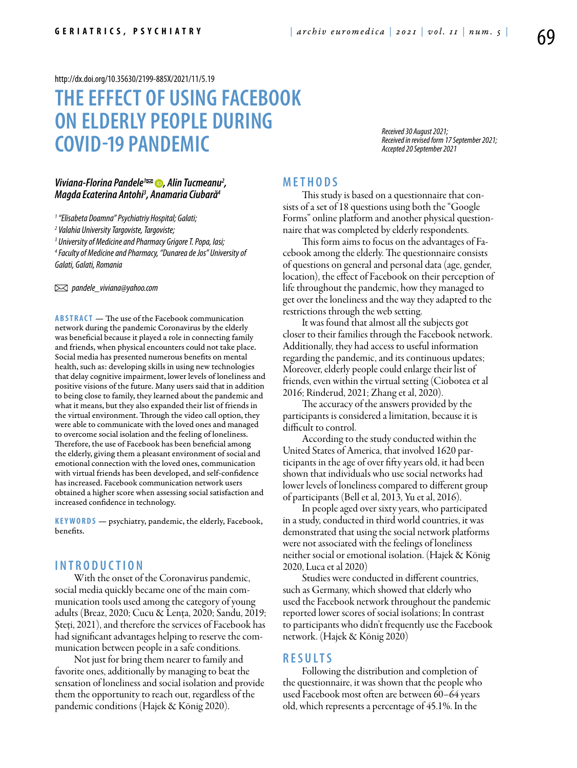<http://dx.doi.org/10.35630/2199-885X/2021/11/5.19>

# **THE EFFECT OF USING FACEBOOK ON ELDERLY PEOPLE DURING COVID-19 PANDEMIC**

*Received 30 August 2021; Received in revised form 17 September 2021; Accepted 20 September 2021*

## *[Viviana-Florina Pandele](https://orcid.org/0000-0003-1299-0753)1 , Alin Tucmeanu2 , Magda Ecaterina Antohi3 , Anamaria Ciubară4*

*1 "Elisabeta Doamna" Psychiatriy Hospital; Galati;*

*2 Valahia University Targoviste, Targoviste;*

*3 University of Medicine and Pharmacy Grigore T. Popa, Iasi;*

*4 Faculty of Medicine and Pharmacy, "Dunarea de Jos" University of Galati, Galati, Romania*

 *pandele\_viviana@yahoo.com* 

**ABSTRACT** — The use of the Facebook communication network during the pandemic Coronavirus by the elderly was beneficial because it played a role in connecting family and friends, when physical encounters could not take place. Social media has presented numerous benefits on mental health, such as: developing skills in using new technologies that delay cognitive impairment, lower levels of loneliness and positive visions of the future. Many users said that in addition to being close to family, they learned about the pandemic and what it means, but they also expanded their list of friends in the virtual environment. Through the video call option, they were able to communicate with the loved ones and managed to overcome social isolation and the feeling of loneliness. Therefore, the use of Facebook has been beneficial among the elderly, giving them a pleasant environment of social and emotional connection with the loved ones, communication with virtual friends has been developed, and self-confidence has increased. Facebook communication network users obtained a higher score when assessing social satisfaction and increased confidence in technology.

KEYWORDS - psychiatry, pandemic, the elderly, Facebook, benefits.

## **INTROD U CTION**

With the onset of the Coronavirus pandemic, social media quickly became one of the main communication tools used among the category of young adults (Breaz, 2020; Cucu & Lența, 2020; Sandu, 2019; Șteți, 2021), and therefore the services of Facebook has had significant advantages helping to reserve the communication between people in a safe conditions.

Not just for bring them nearer to family and favorite ones, additionally by managing to beat the sensation of loneliness and social isolation and provide them the opportunity to reach out, regardless of the pandemic conditions (Hajek & König 2020).

## **MET H ODS**

This study is based on a questionnaire that consists of a set of 18 questions using both the "Google Forms" online platform and another physical questionnaire that was completed by elderly respondents.

This form aims to focus on the advantages of Facebook among the elderly. The questionnaire consists of questions on general and personal data (age, gender, location), the effect of Facebook on their perception of life throughout the pandemic, how they managed to get over the loneliness and the way they adapted to the restrictions through the web setting.

It was found that almost all the subjects got closer to their families through the Facebook network. Additionally, they had access to useful information regarding the pandemic, and its continuous updates; Moreover, elderly people could enlarge their list of friends, even within the virtual setting (Ciobotea et al 2016; Rinderud, 2021; Zhang et al, 2020).

The accuracy of the answers provided by the participants is considered a limitation, because it is difficult to control.

According to the study conducted within the United States of America, that involved 1620 participants in the age of over fifty years old, it had been shown that individuals who use social networks had lower levels of loneliness compared to different group of participants (Bell et al, 2013, Yu et al, 2016).

In people aged over sixty years, who participated in a study, conducted in third world countries, it was demonstrated that using the social network platforms were not associated with the feelings of loneliness neither social or emotional isolation. (Hajek & König 2020, Luca et al 2020)

Studies were conducted in different countries, such as Germany, which showed that elderly who used the Facebook network throughout the pandemic reported lower scores of social isolations; In contrast to participants who didn't frequently use the Facebook network. (Hajek & König 2020)

### **RES U LTS**

Following the distribution and completion of the questionnaire, it was shown that the people who used Facebook most often are between 60–64 years old, which represents a percentage of 45.1%. In the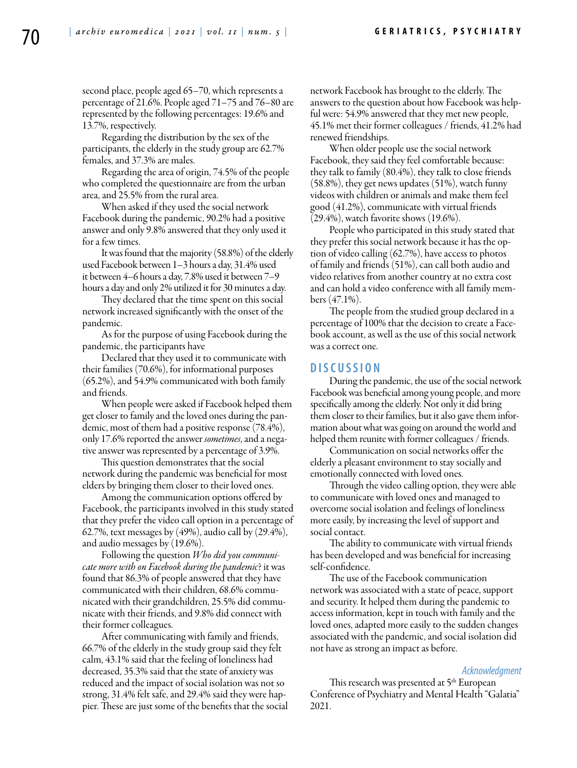second place, people aged 65–70, which represents a percentage of 21.6%. People aged 71–75 and 76–80 are represented by the following percentages: 19.6% and 13.7%, respectively.

Regarding the distribution by the sex of the participants, the elderly in the study group are 62.7% females, and 37.3% are males.

Regarding the area of origin, 74.5% of the people who completed the questionnaire are from the urban area, and 25.5% from the rural area.

When asked if they used the social network Facebook during the pandemic, 90.2% had a positive answer and only 9.8% answered that they only used it for a few times.

It was found that the majority (58.8%) of the elderly used Facebook between 1–3 hours a day, 31.4% used it between 4–6 hours a day, 7.8% used it between 7–9 hours a day and only 2% utilized it for 30 minutes a day.

They declared that the time spent on this social network increased significantly with the onset of the pandemic.

As for the purpose of using Facebook during the pandemic, the participants have

Declared that they used it to communicate with their families (70.6%), for informational purposes (65.2%), and 54.9% communicated with both family and friends.

When people were asked if Facebook helped them get closer to family and the loved ones during the pandemic, most of them had a positive response (78.4%), only 17.6% reported the answer *sometimes*, and a negative answer was represented by a percentage of 3.9%.

This question demonstrates that the social network during the pandemic was beneficial for most elders by bringing them closer to their loved ones.

Among the communication options offered by Facebook, the participants involved in this study stated that they prefer the video call option in a percentage of 62.7%, text messages by (49%), audio call by (29.4%), and audio messages by (19.6%).

Following the question *Who did you communicate more with on Facebook during the pandemic*? it was found that 86.3% of people answered that they have communicated with their children, 68.6% communicated with their grandchildren, 25.5% did communicate with their friends, and 9.8% did connect with their former colleagues.

After communicating with family and friends, 66.7% of the elderly in the study group said they felt calm, 43.1% said that the feeling of loneliness had decreased, 35.3% said that the state of anxiety was reduced and the impact of social isolation was not so strong, 31.4% felt safe, and 29.4% said they were happier. These are just some of the benefits that the social network Facebook has brought to the elderly. The answers to the question about how Facebook was helpful were: 54.9% answered that they met new people, 45.1% met their former colleagues / friends, 41.2% had renewed friendships.

When older people use the social network Facebook, they said they feel comfortable because: they talk to family (80.4%), they talk to close friends (58.8%), they get news updates (51%), watch funny videos with children or animals and make them feel good (41.2%), communicate with virtual friends (29.4%), watch favorite shows (19.6%).

People who participated in this study stated that they prefer this social network because it has the option of video calling (62.7%), have access to photos of family and friends (51%), can call both audio and video relatives from another country at no extra cost and can hold a video conference with all family members (47.1%).

The people from the studied group declared in a percentage of 100% that the decision to create a Facebook account, as well as the use of this social network was a correct one.

#### **DISC U SSION**

During the pandemic, the use of the social network Facebook was beneficial among young people, and more specifically among the elderly. Not only it did bring them closer to their families, but it also gave them information about what was going on around the world and helped them reunite with former colleagues / friends.

Communication on social networks offer the elderly a pleasant environment to stay socially and emotionally connected with loved ones.

Through the video calling option, they were able to communicate with loved ones and managed to overcome social isolation and feelings of loneliness more easily, by increasing the level of support and social contact.

The ability to communicate with virtual friends has been developed and was beneficial for increasing self-confidence.

The use of the Facebook communication network was associated with a state of peace, support and security. It helped them during the pandemic to access information, kept in touch with family and the loved ones, adapted more easily to the sudden changes associated with the pandemic, and social isolation did not have as strong an impact as before.

#### *Acknowledgment*

This research was presented at 5<sup>th</sup> European Conference of Psychiatry and Mental Health "Galatia" 2021.